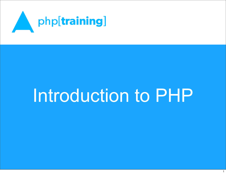

# Introduction to PHP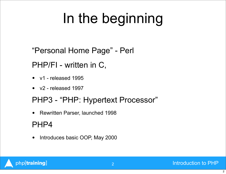# In the beginning

"Personal Home Page" - Perl

### PHP/FI - written in C,

- v1 released 1995
- v2 released 1997

### PHP3 - "PHP: Hypertext Processor"

• Rewritten Parser, launched 1998

### PHP4

• Introduces basic OOP, May 2000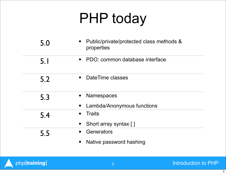## PHP today

| 5.0 | Public/private/protected class methods &<br>$\bullet$<br>properties |
|-----|---------------------------------------------------------------------|
| 5.1 | • PDO: common database interface                                    |
| 5.2 | • DateTime classes                                                  |
| 5.3 | <b>Namespaces</b><br>$\bullet$<br>Lambda/Anonymous functions        |
| 5.4 | <b>Traits</b><br>$\bullet$<br>Short array syntax []                 |
| 5.5 | Generators<br>Native password hashing                               |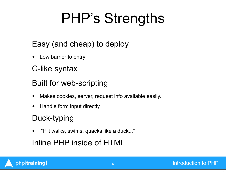# PHP's Strengths

## Easy (and cheap) to deploy

• Low barrier to entry

## C-like syntax

### Built for web-scripting

- Makes cookies, server, request info available easily.
- Handle form input directly

## Duck-typing

• "If it walks, swims, quacks like a duck..."

### Inline PHP inside of HTML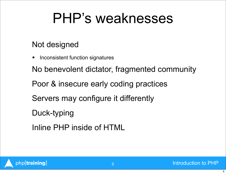## PHP's weaknesses

## Not designed

Inconsistent function signatures

No benevolent dictator, fragmented community

Poor & insecure early coding practices

Servers may configure it differently

- Duck-typing
- Inline PHP inside of HTML

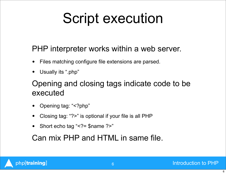## Script execution

### PHP interpreter works within a web server.

- Files matching configure file extensions are parsed.
- Usually its ".php"

### Opening and closing tags indicate code to be executed

- Opening tag: "<?php"
- Closing tag: "?>" is optional if your file is all PHP
- Short echo tag "<?= \$name ?>"

### Can mix PHP and HTML in same file.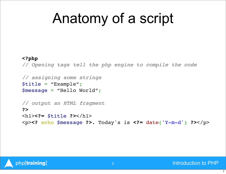## Anatomy of a script

#### **<?php**

*// Opening tags tell the php engine to compile the code*

```
// assigning some strings
$title = "Example";
$message = "Hello World";
```

```
// output an HTML fragment
?>
<h1><?= $title ?></h1>
<p><? echo $message ?>. Today's is <?= date('Y-m-d') ?></p>
```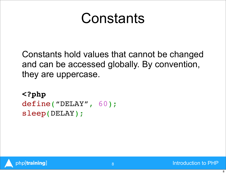## Constants

Constants hold values that cannot be changed and can be accessed globally. By convention, they are uppercase.

8

**<?php** define("DELAY", 60); sleep(DELAY);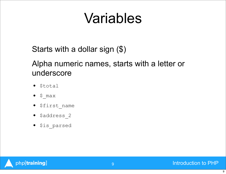## Variables

Starts with a dollar sign (\$)

### Alpha numeric names, starts with a letter or underscore

- \$total
- $\bullet$  \$ max
- \$first\_name
- \$address\_2
- \$is\_parsed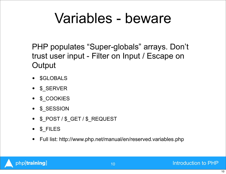## Variables - beware

PHP populates "Super-globals" arrays. Don't trust user input - Filter on Input / Escape on **Output** 

- \$GLOBALS
- \$\_SERVER
- \$ COOKIES
- \$ SESSION
- \$\_POST / \$\_GET / \$\_REQUEST
- \$ FILES
- Full list:<http://www.php.net/manual/en/reserved.variables.php>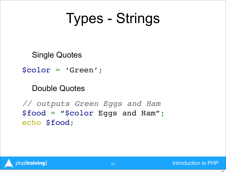# Types - Strings

Single Quotes

\$color = 'Green';

### Double Quotes

*// outputs Green Eggs and Ham* \$food = "\$color Eggs and Ham"; echo \$food;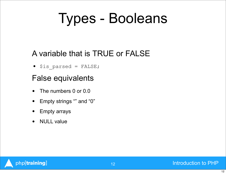## Types - Booleans

### A variable that is TRUE or FALSE

• \$is\_parsed = FALSE;

### False equivalents

- The numbers 0 or 0.0
- Empty strings "" and "0"
- Empty arrays
- NULL value

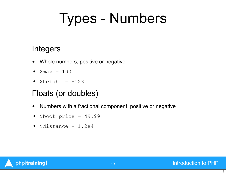# Types - Numbers

### **Integers**

- Whole numbers, positive or negative
- $$max = 100$
- $Sheight = -123$

### Floats (or doubles)

- Numbers with a fractional component, positive or negative
- $\bullet$  \$book price = 49.99
- $\bullet$  \$distance = 1.2e4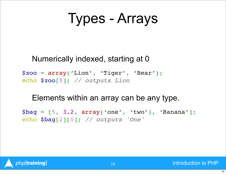## Types - Arrays

### Numerically indexed, starting at 0

\$zoo = array('Lion', 'Tiger', 'Bear'); echo \$zoo[0]; *// outputs Lion*

### Elements within an array can be any type.

```
$bag = [5, 3.2, array('one', 'two'), 'Banana'];
echo $bag[2][0]; // outputs 'One'
```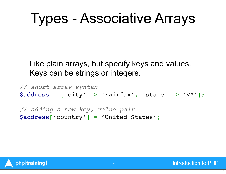## Types - Associative Arrays

Like plain arrays, but specify keys and values. Keys can be strings or integers.

*// short array syntax* \$address = ['city' => 'Fairfax', 'state' => 'VA'];

*// adding a new key, value pair* \$address['country'] = 'United States';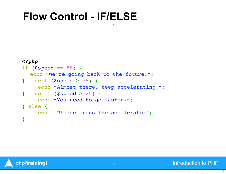## **Flow Control - IF/ELSE**

#### **<?php**

```
if (Sspeed == 88) {
  echo "We're going back to the future!";
} elseif ($speed > 75) {
      echo "Almost there, keep accelerating.";
} else if ($speed > 25) {
      echo "You need to go faster.";
} else {
      echo "Please press the accelerator";
}
```
-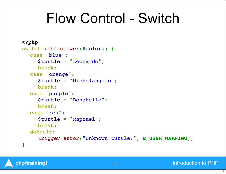## Flow Control - Switch

```
<?php
switch (strtolower($color)) {
  case "blue":
     $turtle = "Leonardo";break;
  case "orange":
     " " $turtle = "Michelangelo";
     break;
  case "purple":
     " " $turtle = "Donatello";
     break;
  case "red":
     $turtle = "Raphael";break;
  default:
     trigger error("Unknown turtle.", E_USER_WARNING);
}
```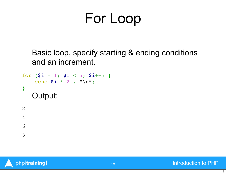## For Loop

Basic loop, specify starting & ending conditions and an increment.

```
for (\frac{1}{2} = 1; \frac{1}{2} < 5; \frac{1}{2} + \frac{1}{2} echo $i * 2 . "\n";
}
     Output:
2
4
6
8
```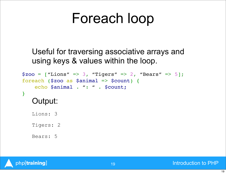## Foreach loop

### Useful for traversing associative arrays and using keys & values within the loop.

```
$zoo = ['Lions" \Rightarrow 3, "Tigers" \Rightarrow 2, "Bears" \Rightarrow 5];foreach ($zoo as $animal => $count) {
     echo $animal . ": " . $count;
}
   Output:
   Lions: 3
   Tigers: 2
```
19

Bears: 5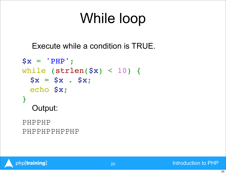## While loop

Execute while a condition is TRUE.

```
Sx = 'PHP';while (strlen($x) < 10) {
 $x = $x . $x;echo $x;
}
  Output:
PHPPHP
PHPPHPPHPPHP
```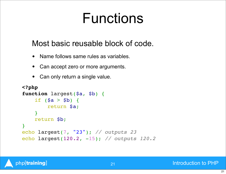## Functions

### Most basic reusable block of code.

- Name follows same rules as variables.
- Can accept zero or more arguments.
- Can only return a single value.

```
<?php
function largest($a, $b) {
    if (sa > sb) {
         return $a;
     }
     return $b;
}
echo largest(7, "23"); // outputs 23
echo largest(120.2, -15); // outputs 120.2
```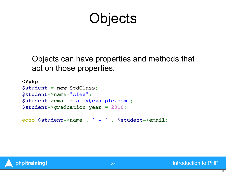# Objects

Objects can have properties and methods that act on those properties.

```
<?php
$student = new StdClass;
$student->name="Alex";
$student->email=
"alex@example.com";
$student->graduation_year = 2010;
```

```
echo $student->name . ' - ' . $student->email;
```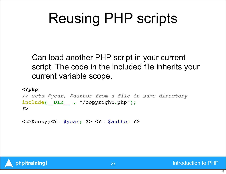## Reusing PHP scripts

Can load another PHP script in your current script. The code in the included file inherits your current variable scope.

```
<?php
// sets $year, $author from a file in same directory
include( DIR . "/copyright.php");
?>
```

```
<p>&copy;<?= $year; ?> <?= $author ?>
```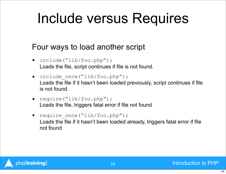## Include versus Requires

### Four ways to load another script

- include("lib/foo.php"); Loads the file, script continues if file is not found.
- include once("lib/foo.php"); Loads the file if it hasn't been loaded previously, script continues if file is not found.
- require("lib/foo.php"); Loads the file, triggers fatal error if file not found
- require once("lib/foo.php"); Loads the file if it hasn't been loaded already, triggers fatal error if file not found

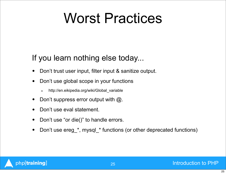## Worst Practices

### If you learn nothing else today...

- Don't trust user input, filter input & sanitize output.
- Don't use global scope in your functions
	- http://en.eikipedia.org/wiki/Global\_variable
- Don't suppress error output with  $@.$
- Don't use eval statement.
- Don't use "or die()" to handle errors.
- Don't use ereg\_\*, mysql\_\* functions (or other deprecated functions)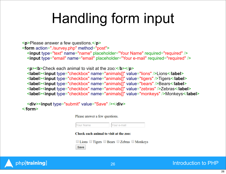# Handling form input

```
<p>Please answer a few questions.</p>
<form action="./survey.php" method="post">
   <input type="text" name="name" placeholder="Your Name" required="required" />
   <input type="email" name="email" placeholder="Your e-mail" required="required" />
   <p><b>Check each animal to visit at the zoo:</b></p>
```
 <**label**><**input** type="checkbox" name="animals[]" value="lions" />Lions</**label**> <**label**><**input** type="checkbox" name="animals[]" value="tigers" />Tigers</**label**> <**label**><**input** type="checkbox" name="animals[]" value="bears" />Bears</**label**> <**label**><**input** type="checkbox" name="animals[]" value="zebras" />Zebras</**label**> <**label**><**input** type="checkbox" name="animals[]" value="monkeys" />Monkeys</**label**>

 <**div**><**input** type="submit" value="Save" /></**div**> </**form**>

Please answer a few questions.



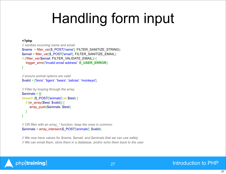## Handling form input

#### **<?php**

```
// sanitize incoming name and email
$name = filter_var($_POST['name'], FILTER_SANITIZE_STRING);
$email = filter_var($_POST['email'], FILTER_SANITIZE_EMAIL);
if (!filter_var($email, FILTER_VALIDATE_EMAIL)) {
   trigger_error('Invalid email address', E_USER_ERROR);
}
```
*// ensure animal options are valid* \$valid = ['lions', 'tigers', 'bears', 'zebras', 'monkeys'];

```
// Filter by looping through the array
\mathsf{Sanimals} = [];
foreach ($_POST['animals'] as $test) {
  if (in_array($test, $valid)) {
      array_push($animals, $test);
   }
}
```
*// OR filter with an array\_\* function, keep the ones in common* \$animals = array\_intersect(\$\_POST['animals'], \$valid);

*// We now have values for \$name, \$email, and \$animals that we can use safely. // We can email them, store them in a database, and/or echo them back to the user.*

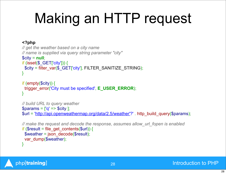# Making an HTTP request

#### **<?php**

```
// get the weather based on a city name
// name is supplied via query string parameter "city"
$city = null;
if (isset($_GET['city'])) {
  $city = filter_var($_GET['city'], FILTER_SANITIZE_STRING);
}
```

```
if (empty($city)) {
  trigger_error('City must be specified', E_USER_ERROR);
}
```

```
// build URL to query weather
$params = ['q' => $city];'http://api.openweathermap.org/data/2.5/weather'?' . http_build_query($params);
```

```
// make the request and decode the response, assumes allow_url_fopen is enabled
if ($result = file get contents($url)) {
 $weather = json-decode($result);var_dump($weather);
}
```
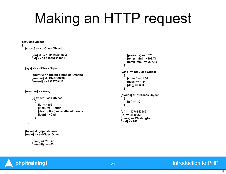## Making an HTTP request

```
stdClass Object
(
   [coord] => stdClass Object
 (
        [lon] => -77.031997680664
       [lat] => 38.890399932861
     )
   [sys] => stdClass Object
 (
        [country] => United States of America
       [sunrise] => 1378723498
        [sunset] => 1378769117
     )
   [weather] => Array
 (
       [0] => stdClass Object
 (
            [id] => 802
            [main] => Clouds
            [description] => scattered clouds
            [icon] => 03d
 )
     )
   [base] => gdps stations
   [main] => stdClass Object
 (
                                                                             [pressure] => 1021
                                                                             [temp_min] => 293.71
                                                                             [temp_max] => 297.15
                                                                       )
                                                                         [wind] => stdClass Object
                                                                       (
                                                                             [speed] => 1.54
                                                                             [gust] => 1.54
                                                                             [deg] => 360
                                                                       )
                                                                         [clouds] => stdClass Object
                                                                       (
                                                                             [all] => 32
                                                                       )
                                                                         [dt] => 1378743982
                                                                         [id] => 4140963
                                                                         [name] => Washington
                                                                         [cod] => 200
                                                                      )
```

```
 [temp] => 295.46
 [humidity] => 63
```
php[training]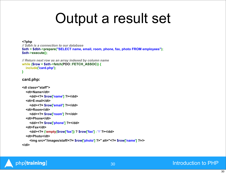## Output a result set

#### **<?php**

*// \$dbh is a connection to our database* **\$sth = \$dbh->prepare("SELECT name, email, room, phone, fax, photo FROM employees"); \$sth->execute();**

```
// Return next row as an array indexed by column name
while ($row = $sth->fetch(PDO::FETCH_ASSOC)) {
   include('card.php');
}
```
#### **card.php:**

```
<dl class="staff">
   <dt>Name</dt>
     <dd><?= $row['name'] ?></dd>
   <dt>E-mail</dt>
     <dd><?= $row['email'] ?></dd>
   <dt>Room</dt>
     <dd><?= $row['room'] ?></dd>
   <dt>Phone</dt>
     <dd><?= $row['phone'] ?></dd>
   <dt>Fax</dt>
     <dd><?= (!empty($row['fax']) ? $row['fax'] : '-' ?></dd>
   <dt>Photo</dt>
     <img src="/images/staff/<?= $row['photo'] ?>" alt="<?= $row['name'] ?>/>
</dl>
```
### php[training]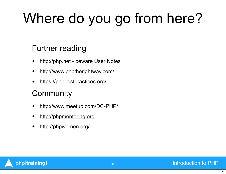# Where do you go from here?

## Further reading

- [http://php.net](http://php.net/)  beware User Notes
- <http://www.phptherightway.com/>
- <https://phpbestpractices.org/>

### **Community**

- <http://www.meetup.com/DC-PHP/>
- <http://phpmentoring.org>
- <http://phpwomen.org/>